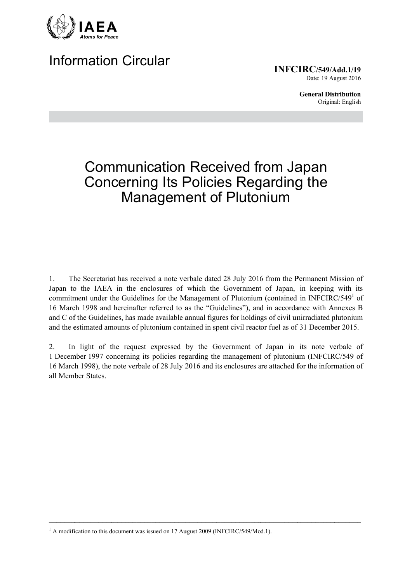

## **Information Circular**

**INFCIRC/549/Add.1/19** Date: 19 August 2016

> **General Distribution** Original: English

# **Communication Received from Japan Concerning Its Policies Regarding the Management of Plutonium**

The Secretariat has received a note verbale dated 28 July 2016 from the Permanent Mission of  $1<sub>1</sub>$ Japan to the IAEA in the enclosures of which the Government of Japan, in keeping with its commitment under the Guidelines for the Management of Plutonium (contained in INFCIRC/549<sup>1</sup> of 16 March 1998 and hereinafter referred to as the "Guidelines"), and in accordance with Annexes B and C of the Guidelines, has made available annual figures for holdings of civil unirradiated plutonium and the estimated amounts of plutonium contained in spent civil reactor fuel as of 31 December 2015.

In light of the request expressed by the Government of Japan in its note verbale of  $\overline{2}$ . 1 December 1997 concerning its policies regarding the management of plutonium (INFCIRC/549 of 16 March 1998), the note verbale of 28 July 2016 and its enclosures are attached for the information of all Member States.

<sup>&</sup>lt;sup>1</sup> A modification to this document was issued on 17 August 2009 (INFCIRC/549/Mod.1).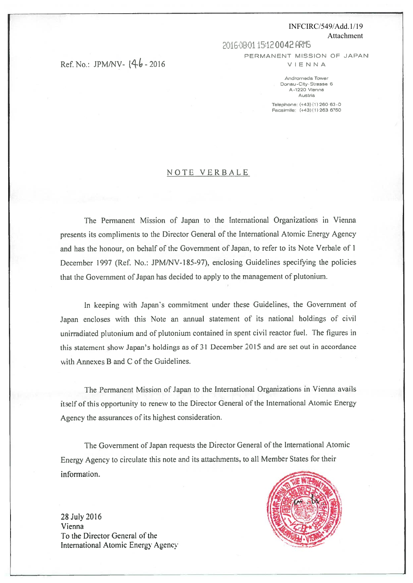## INFCIRC/549/Add.1/19 **Attachment**

Ref. No.: JPM/NV- (46 - 2016

2016-08-01 15:12 0042 ARMS

PERMANENT MISSION OF JAPAN

VIENNA

Andromeda Tower Donau-City-Strasse 6 A-1220 Vienna Austria

Telephone: (+43) (1) 260 63-0 Facsimile: (+43) (1) 263 6750

### NOTE VERBALE

The Permanent Mission of Japan to the International Organizations in Vienna presents its compliments to the Director General of the International Atomic Energy Agency and has the honour, on behalf of the Government of Japan, to refer to its Note Verbale of 1 December 1997 (Ref. No.: JPM/NV-185-97), enclosing Guidelines specifying the policies that the Government of Japan has decided to apply to the management of plutonium.

In keeping with Japan's commitment under these Guidelines, the Government of Japan encloses with this Note an annual statement of its national holdings of civil unirradiated plutonium and of plutonium contained in spent civil reactor fuel. The figures in this statement show Japan's holdings as of 31 December 2015 and are set out in accordance with Annexes B and C of the Guidelines.

The Permanent Mission of Japan to the International Organizations in Vienna avails itself of this opportunity to renew to the Director General of the International Atomic Energy Agency the assurances of its highest consideration.

The Government of Japan requests the Director General of the International Atomic Energy Agency to circulate this note and its attachments, to all Member States for their information.

28 July 2016 Vienna To the Director General of the International Atomic Energy Agency

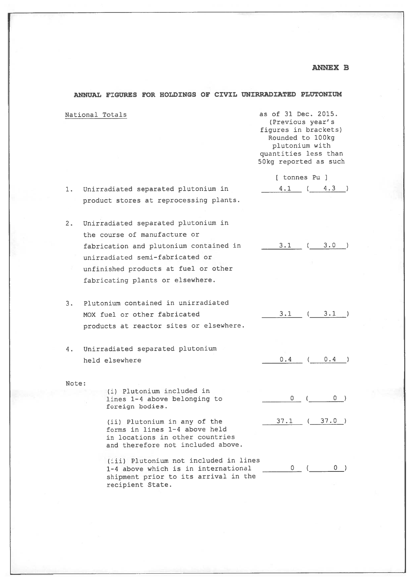### **ANNEX B**

|       | ANNUAL FIGURES FOR HOLDINGS OF CIVIL UNIRRADIATED PLUTONIUM                                                                                                                                                                  |                                                                                                                                                        |
|-------|------------------------------------------------------------------------------------------------------------------------------------------------------------------------------------------------------------------------------|--------------------------------------------------------------------------------------------------------------------------------------------------------|
|       | National Totals                                                                                                                                                                                                              | as of 31 Dec. 2015.<br>(Previous year's<br>figures in brackets)<br>Rounded to 100kg<br>plutonium with<br>quantities less than<br>50kg reported as such |
|       |                                                                                                                                                                                                                              | [ tonnes Pu ]                                                                                                                                          |
| 1.    | Unirradiated separated plutonium in<br>product stores at reprocessing plants.                                                                                                                                                | $4.1$ ( $4.3$ )                                                                                                                                        |
| 2.    | Unirradiated separated plutonium in<br>the course of manufacture or<br>fabrication and plutonium contained in<br>unirradiated semi-fabricated or<br>unfinished products at fuel or other<br>fabricating plants or elsewhere. | $3.1$ ( $3.0$                                                                                                                                          |
| 3.    | Plutonium contained in unirradiated<br>MOX fuel or other fabricated<br>products at reactor sites or elsewhere.                                                                                                               | (3.1)<br>3.1                                                                                                                                           |
| 4.    | Unirradiated separated plutonium<br>held elsewhere                                                                                                                                                                           | 0.4<br>0.4                                                                                                                                             |
| Note: | (i) Plutonium included in<br>lines 1-4 above belonging to<br>foreign bodies.                                                                                                                                                 | $0$ )<br>$0 \sqrt{2}$                                                                                                                                  |
|       | (ii) Plutonium in any of the<br>forms in lines 1-4 above held<br>in locations in other countries<br>and therefore not included above.                                                                                        | 37.1<br>(37.0)                                                                                                                                         |
|       | (iii) Plutonium not included in lines<br>1-4 above which is in international<br>shipment prior to its arrival in the<br>recipient State.                                                                                     | $0$ )<br>$0 \sqrt{2}$                                                                                                                                  |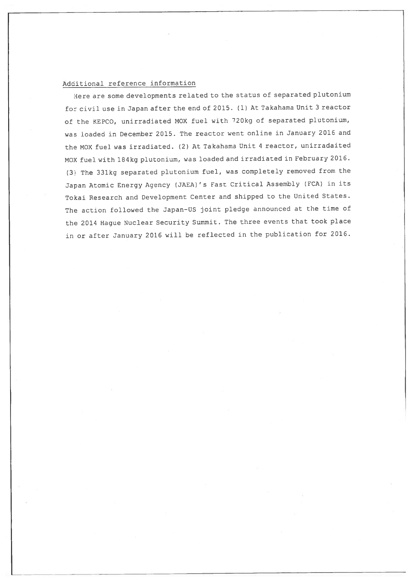#### Additional reference information

Here are some developments related to the status of separated plutonium for civil use in Japan after the end of 2015. (1) At Takahama Unit 3 reactor of the KEPCO, unirradiated MOX fuel with 720kg of separated plutonium, was loaded in December 2015. The reactor went online in January 2016 and the MOX fuel was irradiated. (2) At Takahama Unit 4 reactor, unirradaited MOX fuel with 184kg plutonium, was loaded and irradiated in February 2016. (3) The 331kg separated plutonium fuel, was completely removed from the Japan Atomic Energy Agency (JAEA)'s Fast Critical Assembly (FCA) in its Tokai Research and Development Center and shipped to the United States. The action followed the Japan-US joint pledge announced at the time of the 2014 Hague Nuclear Security Summit. The three events that took place in or after January 2016 will be reflected in the publication for 2016.